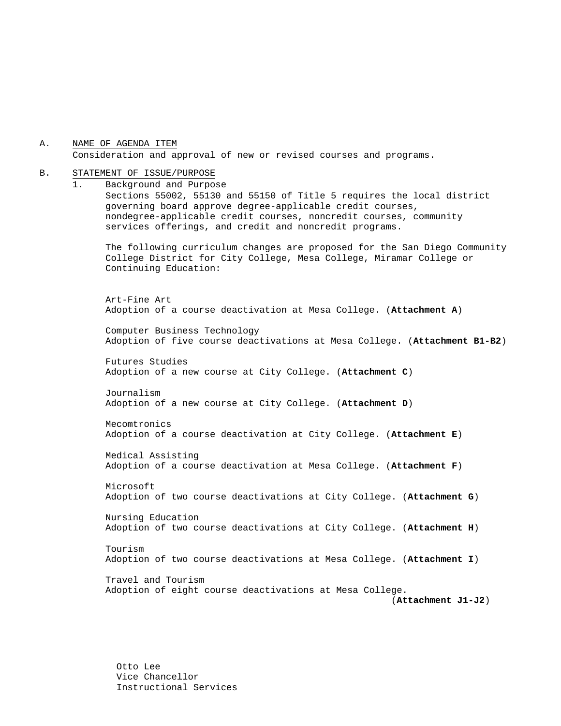A. NAME OF AGENDA ITEM Consideration and approval of new or revised courses and programs.

#### B. STATEMENT OF ISSUE/PURPOSE

1. Background and Purpose Sections 55002, 55130 and 55150 of Title 5 requires the local district governing board approve degree-applicable credit courses, nondegree-applicable credit courses, noncredit courses, community services offerings, and credit and noncredit programs. The following curriculum changes are proposed for the San Diego Community College District for City College, Mesa College, Miramar College or Continuing Education: Art-Fine Art Adoption of a course deactivation at Mesa College. (**Attachment A**) Computer Business Technology Adoption of five course deactivations at Mesa College. (**Attachment B1-B2**) Futures Studies Adoption of a new course at City College. (**Attachment C**) Journalism Adoption of a new course at City College. (**Attachment D**) Mecomtronics Adoption of a course deactivation at City College. (**Attachment E**) Medical Assisting Adoption of a course deactivation at Mesa College. (**Attachment F**) Microsoft Adoption of two course deactivations at City College. (**Attachment G**) Nursing Education Adoption of two course deactivations at City College. (**Attachment H**) Tourism Adoption of two course deactivations at Mesa College. (**Attachment I**) Travel and Tourism Adoption of eight course deactivations at Mesa College. (**Attachment J1-J2**)

Otto Lee Vice Chancellor Instructional Services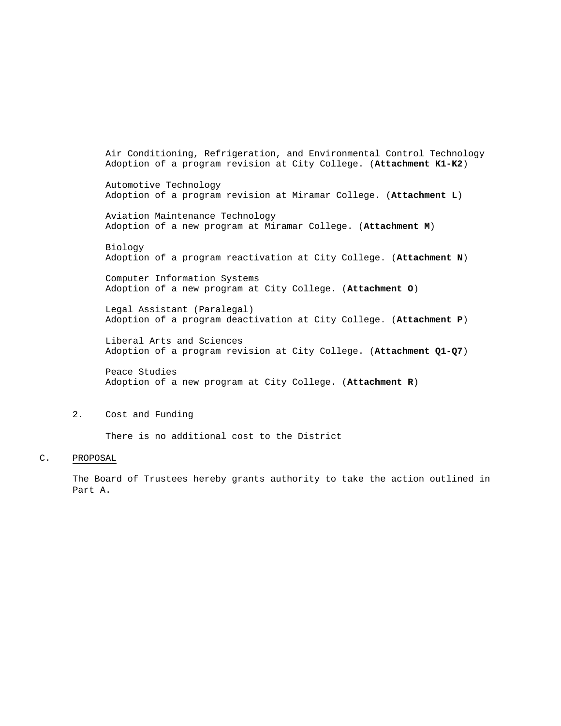Air Conditioning, Refrigeration, and Environmental Control Technology Adoption of a program revision at City College. (**Attachment K1-K2**) Automotive Technology Adoption of a program revision at Miramar College. (**Attachment L**) Aviation Maintenance Technology Adoption of a new program at Miramar College. (**Attachment M**) Biology Adoption of a program reactivation at City College. (**Attachment N**) Computer Information Systems Adoption of a new program at City College. (**Attachment O**) Legal Assistant (Paralegal) Adoption of a program deactivation at City College. (**Attachment P**) Liberal Arts and Sciences Adoption of a program revision at City College. (**Attachment Q1-Q7**) Peace Studies

Adoption of a new program at City College. (**Attachment R**)

#### 2. Cost and Funding

There is no additional cost to the District

#### C. PROPOSAL

The Board of Trustees hereby grants authority to take the action outlined in Part A.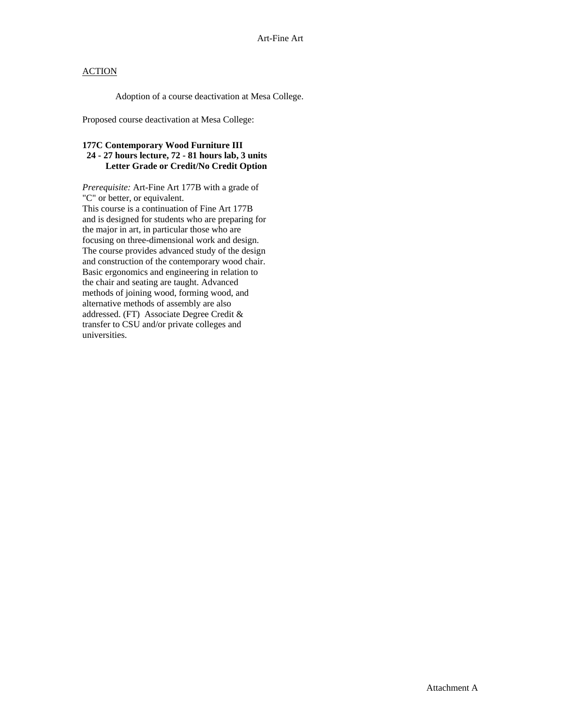Adoption of a course deactivation at Mesa College.

Proposed course deactivation at Mesa College:

## **177C Contemporary Wood Furniture III 24 - 27 hours lecture, 72 - 81 hours lab, 3 units Letter Grade or Credit/No Credit Option**

*Prerequisite:* Art-Fine Art 177B with a grade of "C" or better, or equivalent. This course is a continuation of Fine Art 177B and is designed for students who are preparing for the major in art, in particular those who are focusing on three-dimensional work and design. The course provides advanced study of the design and construction of the contemporary wood chair. Basic ergonomics and engineering in relation to the chair and seating are taught. Advanced methods of joining wood, forming wood, and alternative methods of assembly are also addressed. (FT) Associate Degree Credit & transfer to CSU and/or private colleges and universities.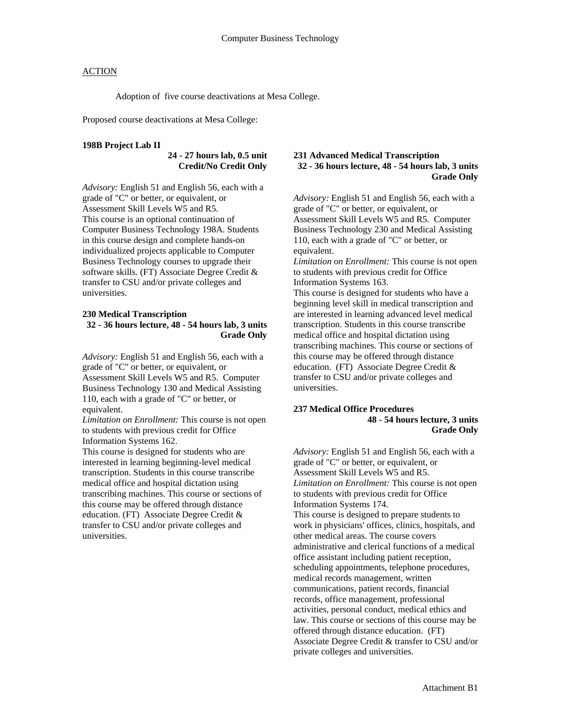Adoption of five course deactivations at Mesa College.

Proposed course deactivations at Mesa College:

#### **198B Project Lab II**

# **24 - 27 hours lab, 0.5 unit Credit/No Credit Only**

*Advisory:* English 51 and English 56, each with a grade of "C" or better, or equivalent, or Assessment Skill Levels W5 and R5. This course is an optional continuation of Computer Business Technology 198A. Students in this course design and complete hands-on individualized projects applicable to Computer Business Technology courses to upgrade their software skills. (FT) Associate Degree Credit & transfer to CSU and/or private colleges and universities.

#### **230 Medical Transcription 32 - 36 hours lecture, 48 - 54 hours lab, 3 units Grade Only**

*Advisory:* English 51 and English 56, each with a grade of "C" or better, or equivalent, or Assessment Skill Levels W5 and R5. Computer Business Technology 130 and Medical Assisting 110, each with a grade of "C" or better, or equivalent.

*Limitation on Enrollment:* This course is not open to students with previous credit for Office Information Systems 162.

This course is designed for students who are interested in learning beginning-level medical transcription. Students in this course transcribe medical office and hospital dictation using transcribing machines. This course or sections of this course may be offered through distance education. (FT) Associate Degree Credit & transfer to CSU and/or private colleges and universities.

#### **231 Advanced Medical Transcription 32 - 36 hours lecture, 48 - 54 hours lab, 3 units Grade Only**

*Advisory:* English 51 and English 56, each with a grade of "C" or better, or equivalent, or Assessment Skill Levels W5 and R5. Computer Business Technology 230 and Medical Assisting 110, each with a grade of "C" or better, or equivalent.

*Limitation on Enrollment:* This course is not open to students with previous credit for Office Information Systems 163.

This course is designed for students who have a beginning level skill in medical transcription and are interested in learning advanced level medical transcription. Students in this course transcribe medical office and hospital dictation using transcribing machines. This course or sections of this course may be offered through distance education. (FT) Associate Degree Credit & transfer to CSU and/or private colleges and universities.

#### **237 Medical Office Procedures 48 - 54 hours lecture, 3 units Grade Only**

*Advisory:* English 51 and English 56, each with a grade of "C" or better, or equivalent, or Assessment Skill Levels W5 and R5. *Limitation on Enrollment:* This course is not open to students with previous credit for Office Information Systems 174. This course is designed to prepare students to work in physicians' offices, clinics, hospitals, and other medical areas. The course covers administrative and clerical functions of a medical office assistant including patient reception, scheduling appointments, telephone procedures, medical records management, written communications, patient records, financial records, office management, professional activities, personal conduct, medical ethics and law. This course or sections of this course may be offered through distance education. (FT) Associate Degree Credit & transfer to CSU and/or private colleges and universities.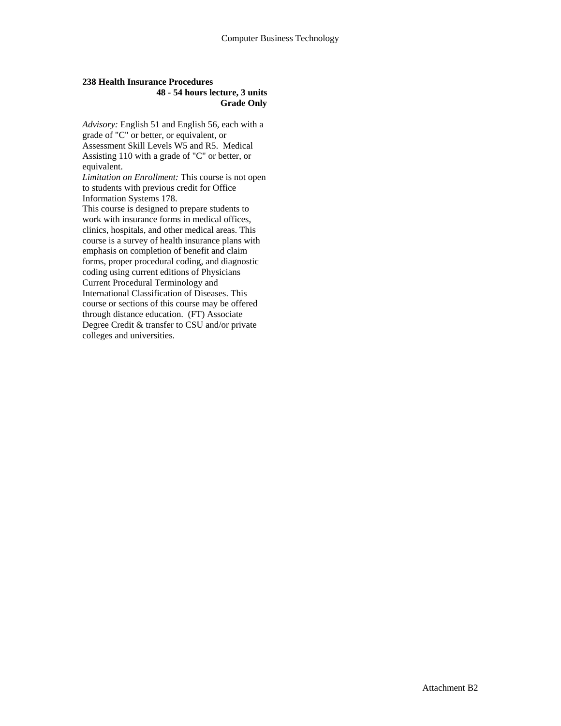#### **238 Health Insurance Procedures 48 - 54 hours lecture, 3 units Grade Only**

*Advisory:* English 51 and English 56, each with a grade of "C" or better, or equivalent, or Assessment Skill Levels W5 and R5. Medical Assisting 110 with a grade of "C" or better, or equivalent.

*Limitation on Enrollment:* This course is not open to students with previous credit for Office Information Systems 178.

This course is designed to prepare students to work with insurance forms in medical offices, clinics, hospitals, and other medical areas. This course is a survey of health insurance plans with emphasis on completion of benefit and claim forms, proper procedural coding, and diagnostic coding using current editions of Physicians Current Procedural Terminology and International Classification of Diseases. This course or sections of this course may be offered through distance education. (FT) Associate Degree Credit & transfer to CSU and/or private colleges and universities.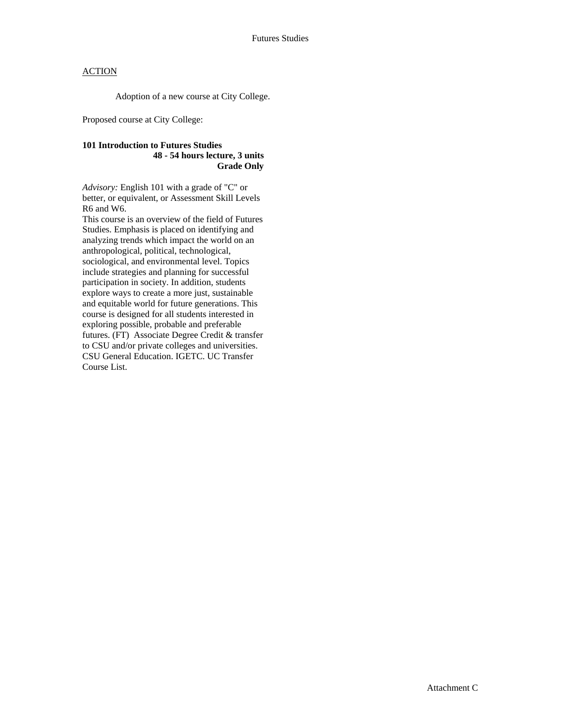Adoption of a new course at City College.

Proposed course at City College:

## **101 Introduction to Futures Studies 48 - 54 hours lecture, 3 units Grade Only**

*Advisory:* English 101 with a grade of "C" or better, or equivalent, or Assessment Skill Levels R6 and W6.

This course is an overview of the field of Futures Studies. Emphasis is placed on identifying and analyzing trends which impact the world on an anthropological, political, technological, sociological, and environmental level. Topics include strategies and planning for successful participation in society. In addition, students explore ways to create a more just, sustainable and equitable world for future generations. This course is designed for all students interested in exploring possible, probable and preferable futures. (FT) Associate Degree Credit & transfer to CSU and/or private colleges and universities. CSU General Education. IGETC. UC Transfer Course List.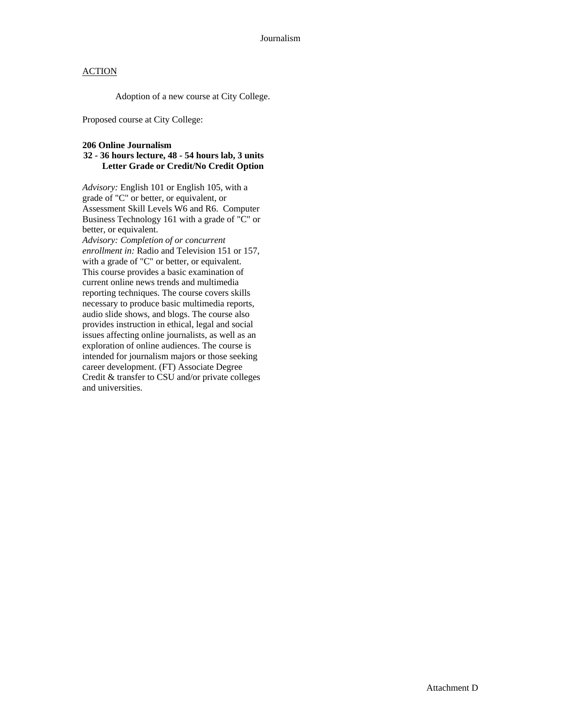Adoption of a new course at City College.

Proposed course at City College:

#### **206 Online Journalism**

## **32 - 36 hours lecture, 48 - 54 hours lab, 3 units Letter Grade or Credit/No Credit Option**

*Advisory:* English 101 or English 105, with a grade of "C" or better, or equivalent, or Assessment Skill Levels W6 and R6. Computer Business Technology 161 with a grade of "C" or better, or equivalent. *Advisory: Completion of or concurrent* 

*enrollment in:* Radio and Television 151 or 157, with a grade of "C" or better, or equivalent. This course provides a basic examination of current online news trends and multimedia reporting techniques. The course covers skills necessary to produce basic multimedia reports, audio slide shows, and blogs. The course also provides instruction in ethical, legal and social issues affecting online journalists, as well as an exploration of online audiences. The course is intended for journalism majors or those seeking career development. (FT) Associate Degree Credit & transfer to CSU and/or private colleges and universities.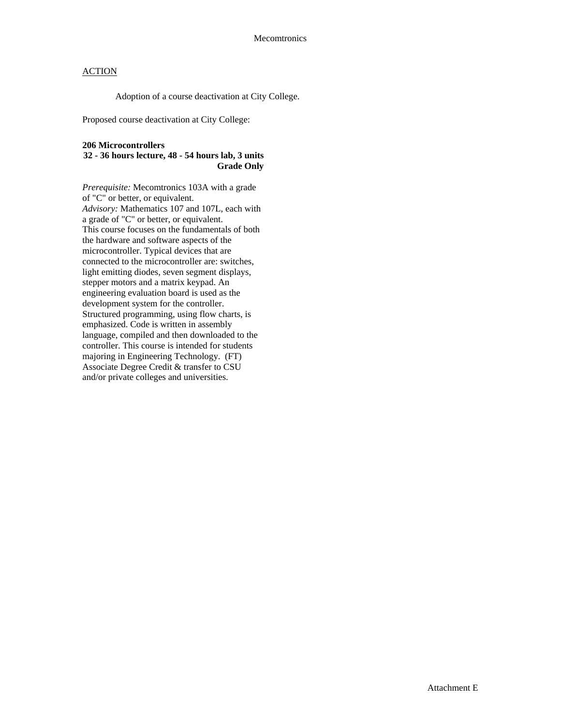Adoption of a course deactivation at City College.

Proposed course deactivation at City College:

#### **206 Microcontrollers**

## **32 - 36 hours lecture, 48 - 54 hours lab, 3 units Grade Only**

*Prerequisite:* Mecomtronics 103A with a grade of "C" or better, or equivalent. *Advisory:* Mathematics 107 and 107L, each with a grade of "C" or better, or equivalent. This course focuses on the fundamentals of both the hardware and software aspects of the microcontroller. Typical devices that are connected to the microcontroller are: switches, light emitting diodes, seven segment displays, stepper motors and a matrix keypad. An engineering evaluation board is used as the development system for the controller. Structured programming, using flow charts, is emphasized. Code is written in assembly language, compiled and then downloaded to the controller. This course is intended for students majoring in Engineering Technology. (FT) Associate Degree Credit & transfer to CSU and/or private colleges and universities.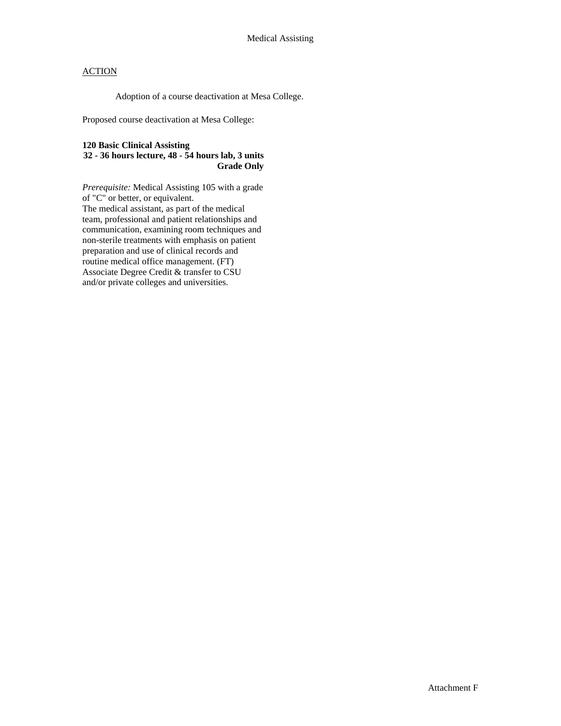Adoption of a course deactivation at Mesa College.

Proposed course deactivation at Mesa College:

## **120 Basic Clinical Assisting**

#### **32 - 36 hours lecture, 48 - 54 hours lab, 3 units Grade Only**

*Prerequisite:* Medical Assisting 105 with a grade of "C" or better, or equivalent. The medical assistant, as part of the medical team, professional and patient relationships and communication, examining room techniques and non-sterile treatments with emphasis on patient preparation and use of clinical records and routine medical office management. (FT) Associate Degree Credit & transfer to CSU and/or private colleges and universities.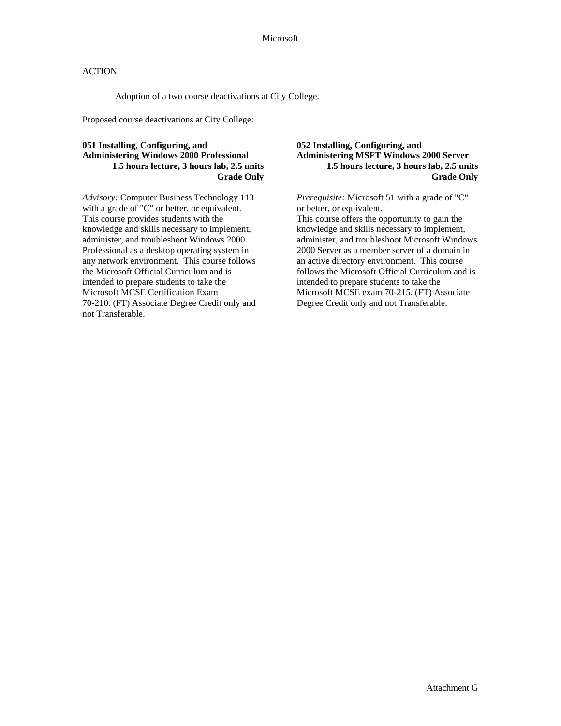Adoption of a two course deactivations at City College.

Proposed course deactivations at City College:

#### **051 Installing, Configuring, and Administering Windows 2000 Professional 1.5 hours lecture, 3 hours lab, 2.5 units Grade Only**

*Advisory:* Computer Business Technology 113 with a grade of "C" or better, or equivalent. This course provides students with the knowledge and skills necessary to implement, administer, and troubleshoot Windows 2000 Professional as a desktop operating system in any network environment. This course follows the Microsoft Official Curriculum and is intended to prepare students to take the Microsoft MCSE Certification Exam 70-210. (FT) Associate Degree Credit only and not Transferable.

## **052 Installing, Configuring, and Administering MSFT Windows 2000 Server 1.5 hours lecture, 3 hours lab, 2.5 units Grade Only**

*Prerequisite:* Microsoft 51 with a grade of "C" or better, or equivalent.

This course offers the opportunity to gain the knowledge and skills necessary to implement, administer, and troubleshoot Microsoft Windows 2000 Server as a member server of a domain in an active directory environment. This course follows the Microsoft Official Curriculum and is intended to prepare students to take the Microsoft MCSE exam 70-215. (FT) Associate Degree Credit only and not Transferable.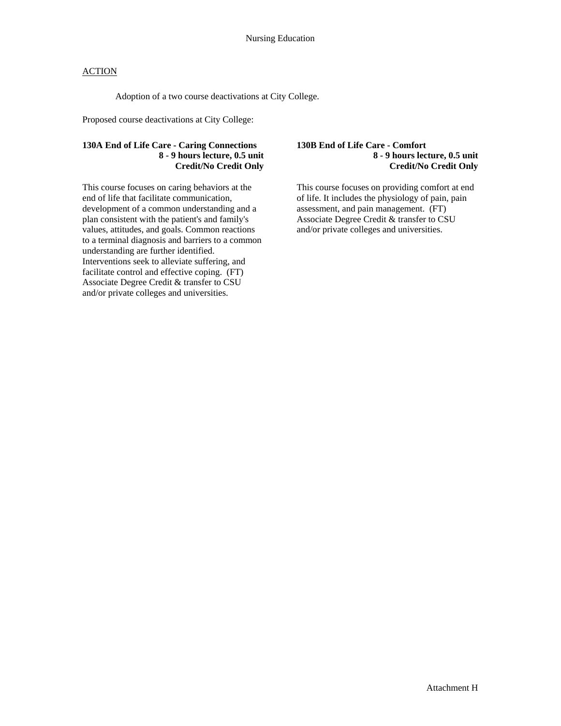Adoption of a two course deactivations at City College.

Proposed course deactivations at City College:

## **130A End of Life Care - Caring Connections 8 - 9 hours lecture, 0.5 unit Credit/No Credit Only**

This course focuses on caring behaviors at the end of life that facilitate communication, development of a common understanding and a plan consistent with the patient's and family's values, attitudes, and goals. Common reactions to a terminal diagnosis and barriers to a common understanding are further identified. Interventions seek to alleviate suffering, and facilitate control and effective coping. (FT) Associate Degree Credit & transfer to CSU and/or private colleges and universities.

#### **130B End of Life Care - Comfort 8 - 9 hours lecture, 0.5 unit Credit/No Credit Only**

This course focuses on providing comfort at end of life. It includes the physiology of pain, pain assessment, and pain management. (FT) Associate Degree Credit & transfer to CSU and/or private colleges and universities.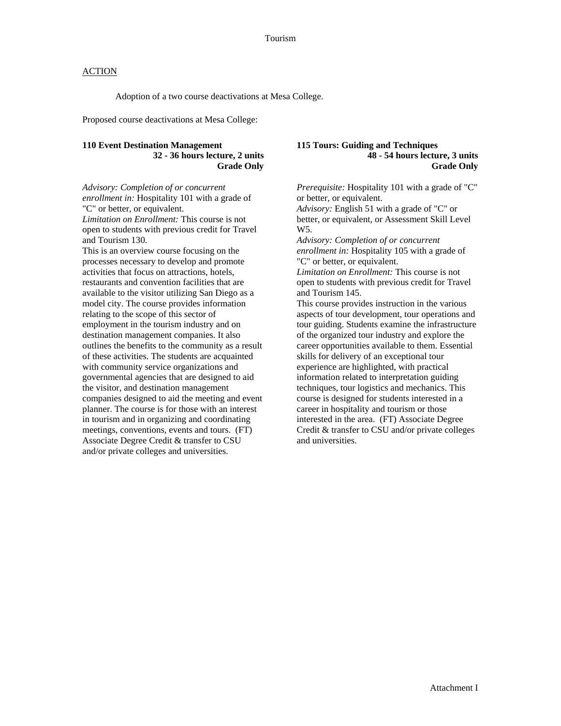Adoption of a two course deactivations at Mesa College.

Proposed course deactivations at Mesa College:

#### **110 Event Destination Management 32 - 36 hours lecture, 2 units Grade Only**

*Advisory: Completion of or concurrent enrollment in:* Hospitality 101 with a grade of "C" or better, or equivalent. *Limitation on Enrollment:* This course is not open to students with previous credit for Travel

and Tourism 130. This is an overview course focusing on the processes necessary to develop and promote activities that focus on attractions, hotels, restaurants and convention facilities that are available to the visitor utilizing San Diego as a model city. The course provides information relating to the scope of this sector of employment in the tourism industry and on destination management companies. It also outlines the benefits to the community as a result of these activities. The students are acquainted with community service organizations and governmental agencies that are designed to aid the visitor, and destination management companies designed to aid the meeting and event planner. The course is for those with an interest in tourism and in organizing and coordinating meetings, conventions, events and tours. (FT) Associate Degree Credit & transfer to CSU and/or private colleges and universities.

#### **115 Tours: Guiding and Techniques 48 - 54 hours lecture, 3 units Grade Only**

*Prerequisite:* Hospitality 101 with a grade of "C" or better, or equivalent.

*Advisory:* English 51 with a grade of "C" or better, or equivalent, or Assessment Skill Level W5.

*Advisory: Completion of or concurrent enrollment in:* Hospitality 105 with a grade of "C" or better, or equivalent.

*Limitation on Enrollment:* This course is not open to students with previous credit for Travel and Tourism 145.

This course provides instruction in the various aspects of tour development, tour operations and tour guiding. Students examine the infrastructure of the organized tour industry and explore the career opportunities available to them. Essential skills for delivery of an exceptional tour experience are highlighted, with practical information related to interpretation guiding techniques, tour logistics and mechanics. This course is designed for students interested in a career in hospitality and tourism or those interested in the area. (FT) Associate Degree Credit & transfer to CSU and/or private colleges and universities.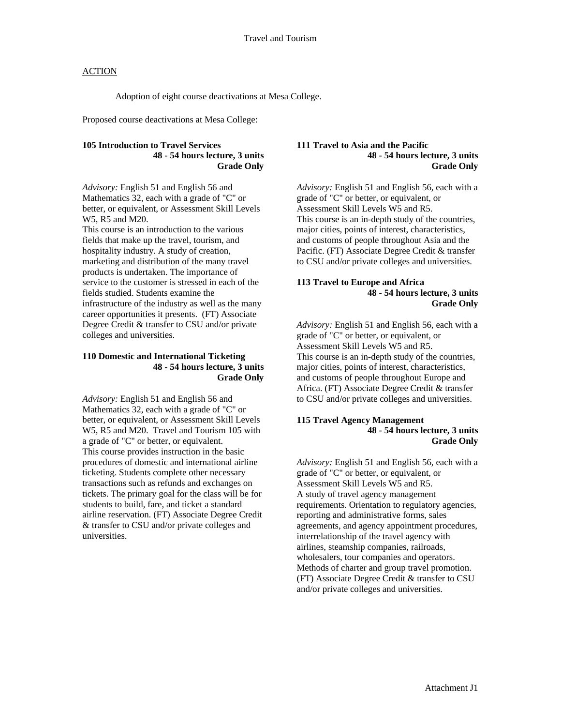Adoption of eight course deactivations at Mesa College.

Proposed course deactivations at Mesa College:

## **105 Introduction to Travel Services 48 - 54 hours lecture, 3 units Grade Only**

*Advisory:* English 51 and English 56 and Mathematics 32, each with a grade of "C" or better, or equivalent, or Assessment Skill Levels W5, R5 and M20.

This course is an introduction to the various fields that make up the travel, tourism, and hospitality industry. A study of creation, marketing and distribution of the many travel products is undertaken. The importance of service to the customer is stressed in each of the fields studied. Students examine the infrastructure of the industry as well as the many career opportunities it presents. (FT) Associate Degree Credit & transfer to CSU and/or private colleges and universities.

#### **110 Domestic and International Ticketing 48 - 54 hours lecture, 3 units Grade Only**

*Advisory:* English 51 and English 56 and Mathematics 32, each with a grade of "C" or better, or equivalent, or Assessment Skill Levels W5, R5 and M20. Travel and Tourism 105 with a grade of "C" or better, or equivalent. This course provides instruction in the basic procedures of domestic and international airline ticketing. Students complete other necessary transactions such as refunds and exchanges on tickets. The primary goal for the class will be for students to build, fare, and ticket a standard airline reservation. (FT) Associate Degree Credit & transfer to CSU and/or private colleges and universities.

#### **111 Travel to Asia and the Pacific 48 - 54 hours lecture, 3 units Grade Only**

*Advisory:* English 51 and English 56, each with a grade of "C" or better, or equivalent, or Assessment Skill Levels W5 and R5. This course is an in-depth study of the countries, major cities, points of interest, characteristics, and customs of people throughout Asia and the Pacific. (FT) Associate Degree Credit & transfer to CSU and/or private colleges and universities.

#### **113 Travel to Europe and Africa 48 - 54 hours lecture, 3 units Grade Only**

*Advisory:* English 51 and English 56, each with a grade of "C" or better, or equivalent, or Assessment Skill Levels W5 and R5. This course is an in-depth study of the countries, major cities, points of interest, characteristics, and customs of people throughout Europe and Africa. (FT) Associate Degree Credit & transfer to CSU and/or private colleges and universities.

#### **115 Travel Agency Management 48 - 54 hours lecture, 3 units Grade Only**

*Advisory:* English 51 and English 56, each with a grade of "C" or better, or equivalent, or Assessment Skill Levels W5 and R5. A study of travel agency management requirements. Orientation to regulatory agencies, reporting and administrative forms, sales agreements, and agency appointment procedures, interrelationship of the travel agency with airlines, steamship companies, railroads, wholesalers, tour companies and operators. Methods of charter and group travel promotion. (FT) Associate Degree Credit & transfer to CSU and/or private colleges and universities.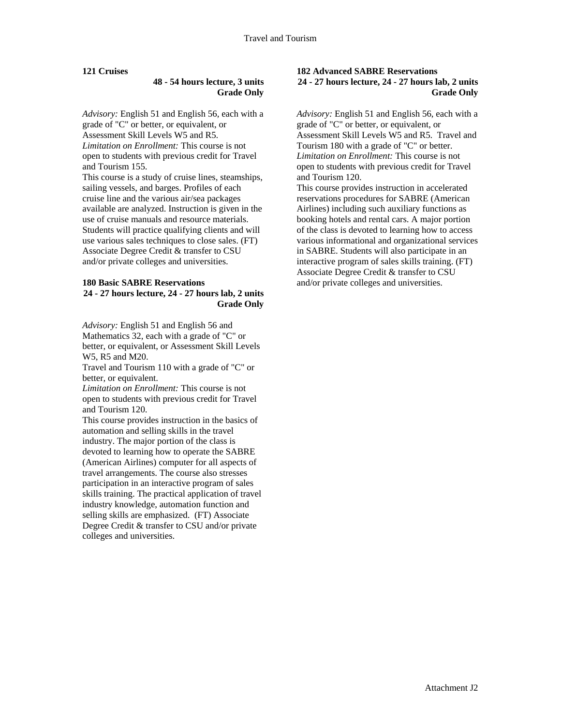## **121 Cruises**

#### **48 - 54 hours lecture, 3 units Grade Only**

*Advisory:* English 51 and English 56, each with a grade of "C" or better, or equivalent, or Assessment Skill Levels W5 and R5. *Limitation on Enrollment:* This course is not open to students with previous credit for Travel and Tourism 155.

This course is a study of cruise lines, steamships, sailing vessels, and barges. Profiles of each cruise line and the various air/sea packages available are analyzed. Instruction is given in the use of cruise manuals and resource materials. Students will practice qualifying clients and will use various sales techniques to close sales. (FT) Associate Degree Credit & transfer to CSU and/or private colleges and universities.

#### **180 Basic SABRE Reservations 24 - 27 hours lecture, 24 - 27 hours lab, 2 units Grade Only**

*Advisory:* English 51 and English 56 and Mathematics 32, each with a grade of "C" or better, or equivalent, or Assessment Skill Levels W5, R5 and M20.

Travel and Tourism 110 with a grade of "C" or better, or equivalent.

*Limitation on Enrollment:* This course is not open to students with previous credit for Travel and Tourism 120.

This course provides instruction in the basics of automation and selling skills in the travel industry. The major portion of the class is devoted to learning how to operate the SABRE (American Airlines) computer for all aspects of travel arrangements. The course also stresses participation in an interactive program of sales skills training. The practical application of travel industry knowledge, automation function and selling skills are emphasized. (FT) Associate Degree Credit & transfer to CSU and/or private colleges and universities.

#### **182 Advanced SABRE Reservations 24 - 27 hours lecture, 24 - 27 hours lab, 2 units Grade Only**

*Advisory:* English 51 and English 56, each with a grade of "C" or better, or equivalent, or Assessment Skill Levels W5 and R5. Travel and Tourism 180 with a grade of "C" or better. *Limitation on Enrollment:* This course is not open to students with previous credit for Travel and Tourism 120.

This course provides instruction in accelerated reservations procedures for SABRE (American Airlines) including such auxiliary functions as booking hotels and rental cars. A major portion of the class is devoted to learning how to access various informational and organizational services in SABRE. Students will also participate in an interactive program of sales skills training. (FT) Associate Degree Credit & transfer to CSU and/or private colleges and universities.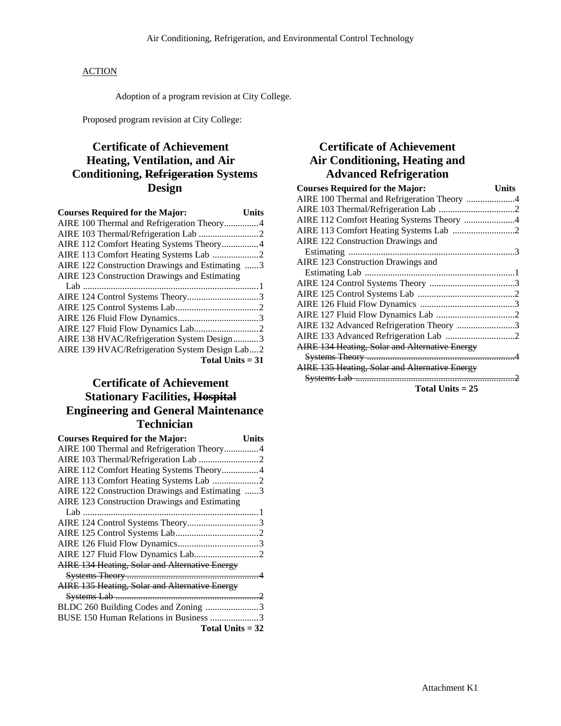Adoption of a program revision at City College.

Proposed program revision at City College:

# **Certificate of Achievement Heating, Ventilation, and Air Conditioning, Refrigeration Systems Design**

| <b>Courses Required for the Major:</b>          | Units |
|-------------------------------------------------|-------|
| AIRE 100 Thermal and Refrigeration Theory4      |       |
|                                                 |       |
| AIRE 112 Comfort Heating Systems Theory4        |       |
|                                                 |       |
| AIRE 122 Construction Drawings and Estimating 3 |       |
| AIRE 123 Construction Drawings and Estimating   |       |
|                                                 |       |
|                                                 |       |
|                                                 |       |
|                                                 |       |
|                                                 |       |
| AIRE 138 HVAC/Refrigeration System Design3      |       |
| AIRE 139 HVAC/Refrigeration System Design Lab2  |       |
| Total Units $= 31$                              |       |

# **Certificate of Achievement Stationary Facilities, Hospital Engineering and General Maintenance Technician**

| <b>Courses Required for the Major:</b>          | Units |
|-------------------------------------------------|-------|
| AIRE 100 Thermal and Refrigeration Theory4      |       |
|                                                 |       |
| AIRE 112 Comfort Heating Systems Theory4        |       |
| AIRE 113 Comfort Heating Systems Lab 2          |       |
| AIRE 122 Construction Drawings and Estimating 3 |       |
| AIRE 123 Construction Drawings and Estimating   |       |
|                                                 |       |
| AIRE 124 Control Systems Theory3                |       |
|                                                 |       |
|                                                 |       |
|                                                 |       |
| AIRE 134 Heating, Solar and Alternative Energy  |       |
|                                                 |       |
| AIRE 135 Heating, Solar and Alternative Energy  |       |
|                                                 |       |
| BLDC 260 Building Codes and Zoning 3            |       |
| BUSE 150 Human Relations in Business 3          |       |
| Total Units $=$ 32                              |       |

# **Certificate of Achievement Air Conditioning, Heating and Advanced Refrigeration**

| <b>Courses Required for the Major:</b>                | Units |
|-------------------------------------------------------|-------|
| AIRE 100 Thermal and Refrigeration Theory 4           |       |
|                                                       |       |
| AIRE 112 Comfort Heating Systems Theory 4             |       |
|                                                       |       |
| AIRE 122 Construction Drawings and                    |       |
|                                                       |       |
| AIRE 123 Construction Drawings and                    |       |
|                                                       |       |
|                                                       |       |
|                                                       |       |
|                                                       |       |
|                                                       |       |
| AIRE 132 Advanced Refrigeration Theory 3              |       |
|                                                       |       |
| <b>AIRE 134 Heating, Solar and Alternative Energy</b> |       |
|                                                       |       |
| AIRE 135 Heating, Solar and Alternative Energy        |       |
|                                                       |       |
| $T = 4.1 T = 24.7 T$                                  |       |

**Total Units = 25**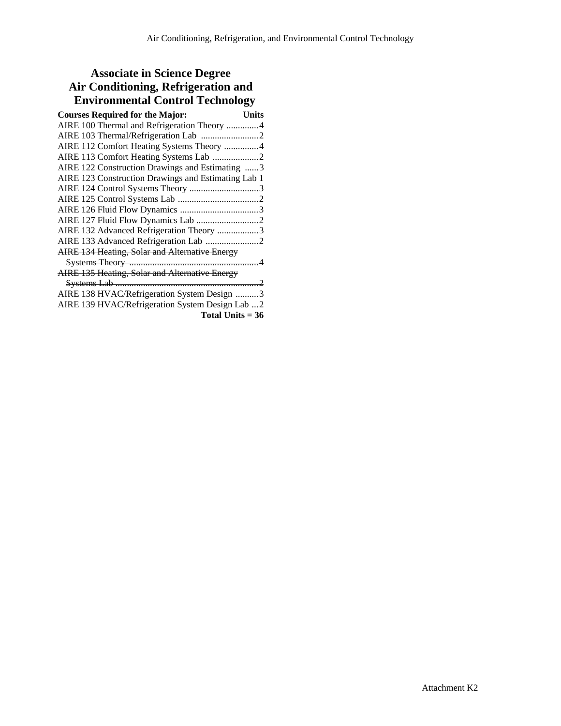# **Associate in Science Degree Air Conditioning, Refrigeration and Environmental Control Technology**

| <b>Courses Required for the Major:</b><br><b>Units</b> |
|--------------------------------------------------------|
| AIRE 100 Thermal and Refrigeration Theory 4            |
|                                                        |
| AIRE 112 Comfort Heating Systems Theory 4              |
| AIRE 113 Comfort Heating Systems Lab 2                 |
| AIRE 122 Construction Drawings and Estimating 3        |
| AIRE 123 Construction Drawings and Estimating Lab 1    |
| AIRE 124 Control Systems Theory 3                      |
|                                                        |
|                                                        |
|                                                        |
| AIRE 132 Advanced Refrigeration Theory 3               |
|                                                        |
| AIRE 134 Heating, Solar and Alternative Energy         |
|                                                        |
| AIRE 135 Heating, Solar and Alternative Energy         |
|                                                        |
| AIRE 138 HVAC/Refrigeration System Design 3            |
| AIRE 139 HVAC/Refrigeration System Design Lab 2        |

**Total Units = 36**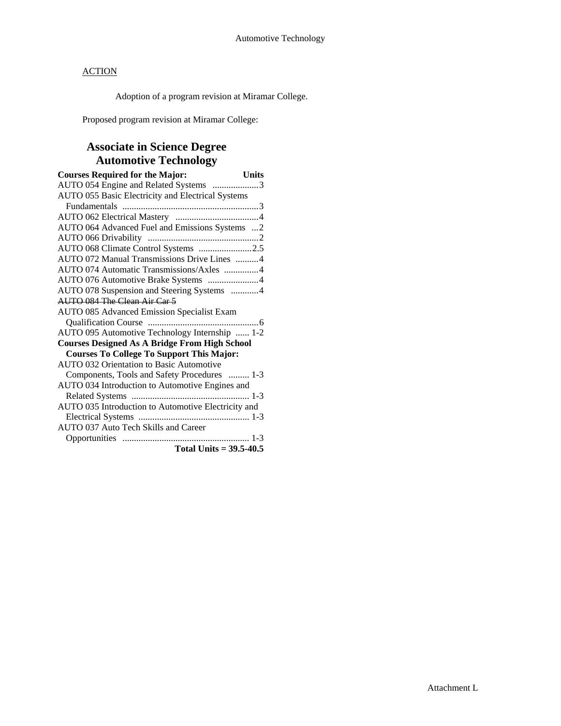Adoption of a program revision at Miramar College.

Proposed program revision at Miramar College:

# **Associate in Science Degree Automotive Technology**

| <b>Courses Required for the Major:</b>               | <b>Units</b> |
|------------------------------------------------------|--------------|
| AUTO 054 Engine and Related Systems 3                |              |
| AUTO 055 Basic Electricity and Electrical Systems    |              |
|                                                      |              |
|                                                      |              |
| AUTO 064 Advanced Fuel and Emissions Systems 2       |              |
|                                                      |              |
| AUTO 068 Climate Control Systems 2.5                 |              |
| AUTO 072 Manual Transmissions Drive Lines 4          |              |
| AUTO 074 Automatic Transmissions/Axles 4             |              |
| AUTO 076 Automotive Brake Systems 4                  |              |
| AUTO 078 Suspension and Steering Systems 4           |              |
| AUTO 084 The Clean Air Car 5                         |              |
| <b>AUTO 085 Advanced Emission Specialist Exam</b>    |              |
|                                                      |              |
| AUTO 095 Automotive Technology Internship  1-2       |              |
| <b>Courses Designed As A Bridge From High School</b> |              |
| <b>Courses To College To Support This Major:</b>     |              |
| <b>AUTO 032 Orientation to Basic Automotive</b>      |              |
| Components, Tools and Safety Procedures  1-3         |              |
| AUTO 034 Introduction to Automotive Engines and      |              |
|                                                      |              |
| AUTO 035 Introduction to Automotive Electricity and  |              |
|                                                      |              |
| <b>AUTO 037 Auto Tech Skills and Career</b>          |              |
|                                                      |              |
| Total Units = $39.5 - 40.5$                          |              |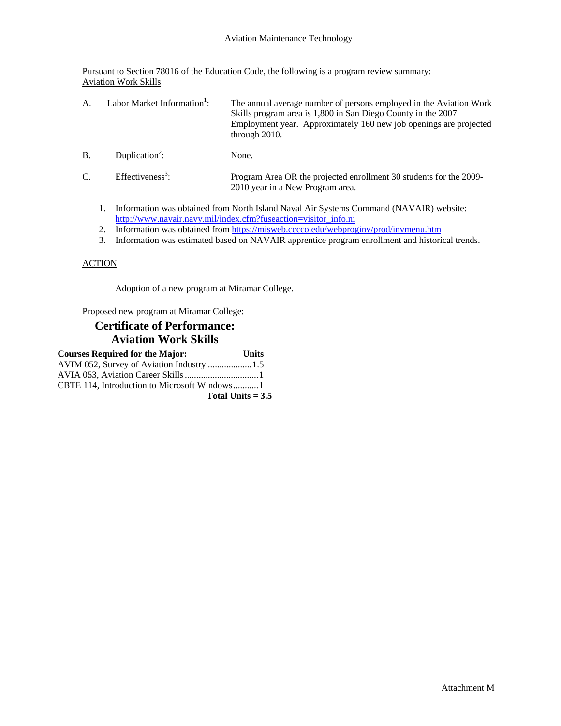Pursuant to Section 78016 of the Education Code, the following is a program review summary: Aviation Work Skills

| A.         | Labor Market Information <sup>1</sup> : | The annual average number of persons employed in the Aviation Work<br>Skills program area is 1,800 in San Diego County in the 2007<br>Employment year. Approximately 160 new job openings are projected<br>through $2010$ . |
|------------|-----------------------------------------|-----------------------------------------------------------------------------------------------------------------------------------------------------------------------------------------------------------------------------|
| <b>B</b> . | Duplication <sup>2</sup> :              | None.                                                                                                                                                                                                                       |

| $\sim$<br>Ć. | Effectiveness <sup>3</sup> : | Program Area OR the projected enrollment 30 students for the 2009- |
|--------------|------------------------------|--------------------------------------------------------------------|
|              |                              | 2010 year in a New Program area.                                   |

- 1. Information was obtained from North Island Naval Air Systems Command (NAVAIR) website: http://www.navair.navy.mil/index.cfm?fuseaction=visitor\_info.ni
- 2. Information was obtained from https://misweb.cccco.edu/webproginv/prod/invmenu.htm
- 3. Information was estimated based on NAVAIR apprentice program enrollment and historical trends.

## **ACTION**

Adoption of a new program at Miramar College.

Proposed new program at Miramar College:

# **Certificate of Performance: Aviation Work Skills**

| <b>Courses Required for the Major:</b>     | <b>Units</b> |
|--------------------------------------------|--------------|
| AVIM 052, Survey of Aviation Industry  1.5 |              |
|                                            |              |
|                                            |              |
| Total Units $= 3.5$                        |              |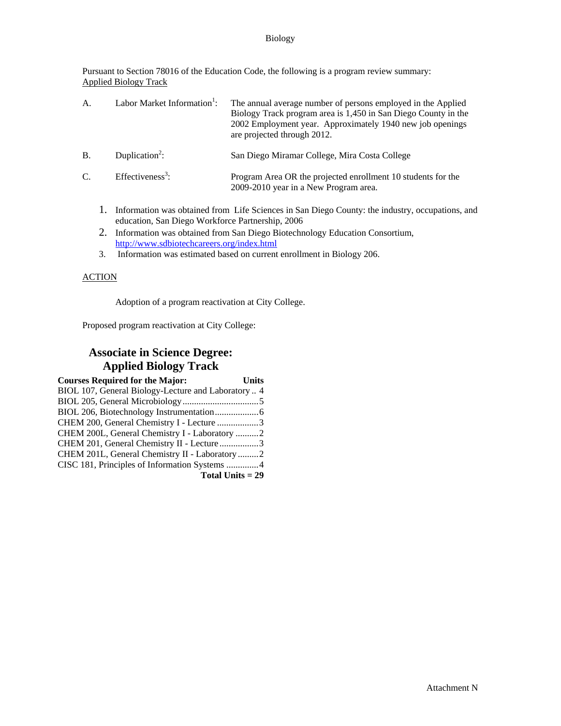#### Biology

Pursuant to Section 78016 of the Education Code, the following is a program review summary: Applied Biology Track

| A.              | Labor Market Information <sup>1</sup> :          | The annual average number of persons employed in the Applied<br>Biology Track program area is 1,450 in San Diego County in the<br>2002 Employment year. Approximately 1940 new job openings<br>are projected through 2012. |
|-----------------|--------------------------------------------------|----------------------------------------------------------------------------------------------------------------------------------------------------------------------------------------------------------------------------|
| <b>B.</b>       | Duplication <sup>2</sup> :                       | San Diego Miramar College, Mira Costa College                                                                                                                                                                              |
| $\mathcal{C}$ . | Effectiveness <sup>3</sup> :                     | Program Area OR the projected enrollment 10 students for the<br>2009-2010 year in a New Program area.                                                                                                                      |
|                 | education, San Diego Workforce Partnership, 2006 | Information was obtained from Life Sciences in San Diego County: the industry, occupations, and                                                                                                                            |

- 2. Information was obtained from San Diego Biotechnology Education Consortium, http://www.sdbiotechcareers.org/index.html
- 3. Information was estimated based on current enrollment in Biology 206.

## ACTION

Adoption of a program reactivation at City College.

Proposed program reactivation at City College:

# **Associate in Science Degree: Applied Biology Track**

| <b>Courses Required for the Major:</b>              | <b>Units</b> |
|-----------------------------------------------------|--------------|
| BIOL 107, General Biology-Lecture and Laboratory  4 |              |
|                                                     |              |
|                                                     |              |
| CHEM 200, General Chemistry I - Lecture 3           |              |
| CHEM 200L, General Chemistry I - Laboratory 2       |              |
| CHEM 201, General Chemistry II - Lecture3           |              |
| CHEM 201L, General Chemistry II - Laboratory 2      |              |
| CISC 181, Principles of Information Systems 4       |              |
| Total Units $= 29$                                  |              |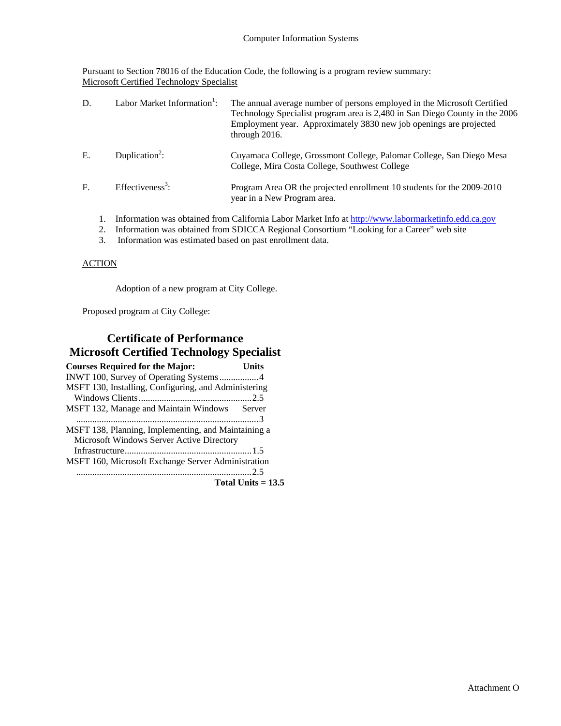Pursuant to Section 78016 of the Education Code, the following is a program review summary: Microsoft Certified Technology Specialist

| D. | Labor Market Information <sup>1</sup> : | The annual average number of persons employed in the Microsoft Certified<br>Technology Specialist program area is 2,480 in San Diego County in the 2006<br>Employment year. Approximately 3830 new job openings are projected<br>through 2016. |
|----|-----------------------------------------|------------------------------------------------------------------------------------------------------------------------------------------------------------------------------------------------------------------------------------------------|
| E. | Duplication <sup>2</sup> :              | Cuyamaca College, Grossmont College, Palomar College, San Diego Mesa<br>College, Mira Costa College, Southwest College                                                                                                                         |
| F. | Effectiveness <sup>3</sup> :            | Program Area OR the projected enrollment 10 students for the 2009-2010<br>year in a New Program area.                                                                                                                                          |
|    |                                         | Information was obtained from California Labor Market Info at $\frac{http://www.1ahormarketinfo.edu}{http://www.1ahormarketinfo.edu)}$                                                                                                         |

- 1. Information was obtained from California Labor Market Info at http://www.labormarketinfo.edd.ca.g 2. Information was obtained from SDICCA Regional Consortium "Looking for a Career" web site
- 3. Information was estimated based on past enrollment data.

## **ACTION**

Adoption of a new program at City College.

Proposed program at City College:

# **Certificate of Performance Microsoft Certified Technology Specialist**

| <b>Courses Required for the Major:</b>               | Units                |
|------------------------------------------------------|----------------------|
|                                                      |                      |
| MSFT 130, Installing, Configuring, and Administering |                      |
|                                                      |                      |
| MSFT 132, Manage and Maintain Windows Server         |                      |
|                                                      |                      |
| MSFT 138, Planning, Implementing, and Maintaining a  |                      |
| Microsoft Windows Server Active Directory            |                      |
|                                                      |                      |
| MSFT 160, Microsoft Exchange Server Administration   |                      |
|                                                      |                      |
|                                                      | Total Units $= 13.5$ |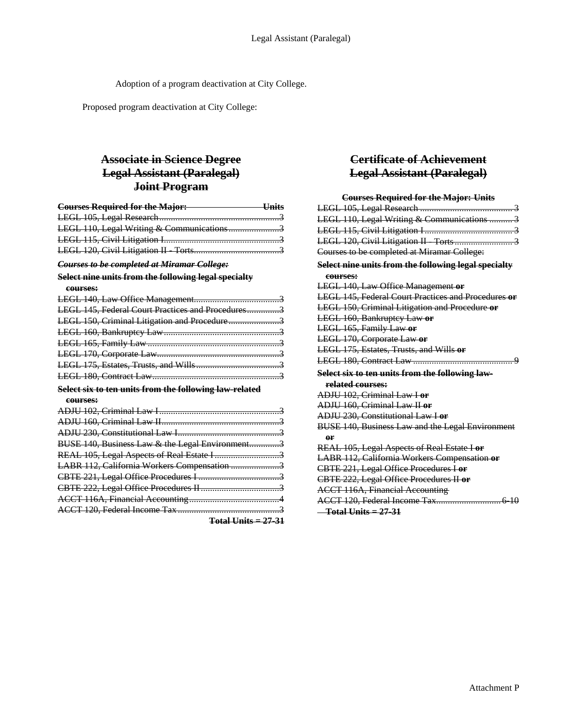Adoption of a program deactivation at City College.

Proposed program deactivation at City College:

# **Associate in Science Degree Legal Assistant (Paralegal) Joint Program**

| <b>Courses Required for the Major:</b>    | — Units |
|-------------------------------------------|---------|
|                                           |         |
| LEGL 110, Legal Writing & Communications3 |         |
|                                           |         |
|                                           |         |

*Courses to be completed at Miramar College:*

# **Select nine units from the following legal specialty**

| courses:                                               |
|--------------------------------------------------------|
|                                                        |
| LEGL 145, Federal Court Practices and Procedures3      |
| LEGL 150, Criminal Litigation and Procedure3           |
|                                                        |
|                                                        |
|                                                        |
|                                                        |
|                                                        |
| Select six to ten units from the following law-related |
|                                                        |
| courses:                                               |
|                                                        |
|                                                        |
|                                                        |
| BUSE 140, Business Law & the Legal Environment3        |
|                                                        |
| LABR 112, California Workers Compensation 3            |
|                                                        |
|                                                        |

ACCT 120, Federal Income Tax ............................................3

**Total Units = 27-31**

# **Certificate of Achievement Legal Assistant (Paralegal)**

| <b>Courses Required for the Major: Units</b>            |
|---------------------------------------------------------|
|                                                         |
| LEGL 110, Legal Writing & Communications  3             |
|                                                         |
|                                                         |
| Courses to be completed at Miramar College:             |
| Select nine units from the following legal specialty    |
| courses:                                                |
| <b>LEGL 140, Law Office Management or</b>               |
| LEGL 145, Federal Court Practices and Procedures or     |
| LEGL 150, Criminal Litigation and Procedure or          |
| <b>LEGL 160, Bankruptey Law or</b>                      |
| LEGL 165, Family Law or                                 |
| LEGL 170, Corporate Law or                              |
| LEGL 175, Estates, Trusts, and Wills or                 |
|                                                         |
| Select six to ten units from the following law-         |
| related courses:                                        |
| ADJU 102, Criminal Law I or                             |
| ADJU 160, Criminal Law II or                            |
| ADJU 230, Constitutional Law I or                       |
| <b>BUSE 140, Business Law and the Legal Environment</b> |
| or                                                      |
| REAL 105, Legal Aspects of Real Estate I or             |
| LABR 112, California Workers Compensation or            |
| CBTE 221, Legal Office Procedures I or                  |
| CBTE 222, Legal Office Procedures II or                 |
| <b>ACCT 116A, Financial Accounting</b>                  |
| 6-10                                                    |
| $-$ Total Units = 27-31                                 |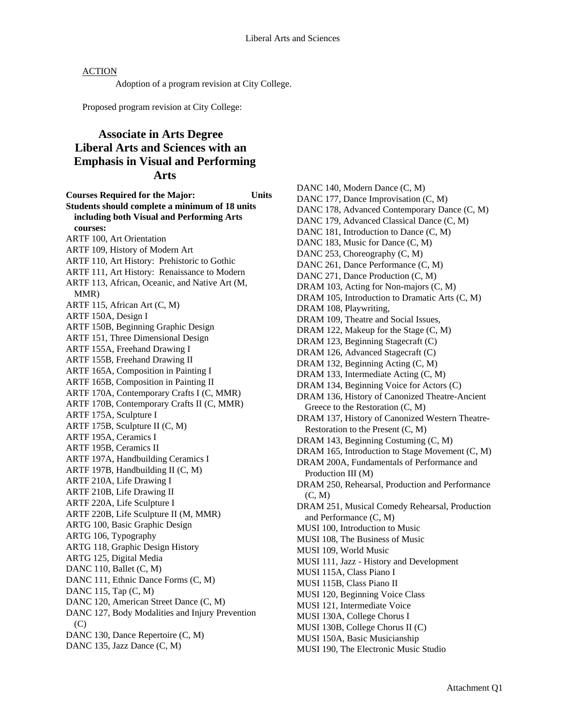Adoption of a program revision at City College.

Proposed program revision at City College:

# **Associate in Arts Degree Liberal Arts and Sciences with an Emphasis in Visual and Performing Arts**

**Courses Required for the Major: Units Students should complete a minimum of 18 units including both Visual and Performing Arts courses:**  ARTF 100, Art Orientation ARTF 109, History of Modern Art ARTF 110, Art History: Prehistoric to Gothic ARTF 111, Art History: Renaissance to Modern ARTF 113, African, Oceanic, and Native Art (M, MMR) ARTF 115, African Art (C, M) ARTF 150A, Design I ARTF 150B, Beginning Graphic Design ARTF 151, Three Dimensional Design ARTF 155A, Freehand Drawing I ARTF 155B, Freehand Drawing II ARTF 165A, Composition in Painting I ARTF 165B, Composition in Painting II ARTF 170A, Contemporary Crafts I (C, MMR) ARTF 170B, Contemporary Crafts II (C, MMR) ARTF 175A, Sculpture I ARTF 175B, Sculpture II (C, M) ARTF 195A, Ceramics I ARTF 195B, Ceramics II ARTF 197A, Handbuilding Ceramics I ARTF 197B, Handbuilding II (C, M) ARTF 210A, Life Drawing I ARTF 210B, Life Drawing II ARTF 220A, Life Sculpture I ARTF 220B, Life Sculpture II (M, MMR) ARTG 100, Basic Graphic Design ARTG 106, Typography ARTG 118, Graphic Design History ARTG 125, Digital Media DANC 110, Ballet  $(C, M)$ DANC 111, Ethnic Dance Forms (C, M) DANC 115, Tap (C, M) DANC 120, American Street Dance (C, M) DANC 127, Body Modalities and Injury Prevention (C) DANC 130, Dance Repertoire (C, M) DANC 135, Jazz Dance (C, M)

DANC 140, Modern Dance (C, M) DANC 177, Dance Improvisation  $(C, M)$ DANC 178, Advanced Contemporary Dance (C, M) DANC 179, Advanced Classical Dance (C, M) DANC 181, Introduction to Dance  $(C, M)$ DANC 183, Music for Dance  $(C, M)$ DANC 253, Choreography (C, M) DANC 261, Dance Performance (C, M) DANC 271, Dance Production (C, M) DRAM 103, Acting for Non-majors (C, M) DRAM 105, Introduction to Dramatic Arts (C, M) DRAM 108, Playwriting, DRAM 109, Theatre and Social Issues, DRAM 122, Makeup for the Stage (C, M) DRAM 123, Beginning Stagecraft (C) DRAM 126, Advanced Stagecraft (C) DRAM 132, Beginning Acting (C, M) DRAM 133, Intermediate Acting (C, M) DRAM 134, Beginning Voice for Actors (C) DRAM 136, History of Canonized Theatre-Ancient Greece to the Restoration (C, M) DRAM 137, History of Canonized Western Theatre-Restoration to the Present (C, M) DRAM 143, Beginning Costuming (C, M) DRAM 165, Introduction to Stage Movement (C, M) DRAM 200A, Fundamentals of Performance and Production III (M) DRAM 250, Rehearsal, Production and Performance (C, M) DRAM 251, Musical Comedy Rehearsal, Production and Performance (C, M) MUSI 100, Introduction to Music MUSI 108, The Business of Music MUSI 109, World Music MUSI 111, Jazz - History and Development MUSI 115A, Class Piano I MUSI 115B, Class Piano II MUSI 120, Beginning Voice Class MUSI 121, Intermediate Voice MUSI 130A, College Chorus I MUSI 130B, College Chorus II (C) MUSI 150A, Basic Musicianship

MUSI 190, The Electronic Music Studio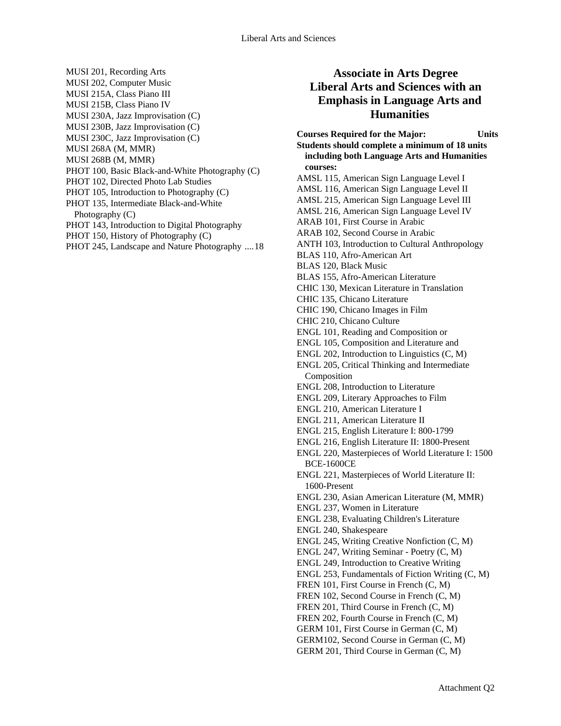- MUSI 201, Recording Arts MUSI 202, Computer Music MUSI 215A, Class Piano III MUSI 215B, Class Piano IV MUSI 230A, Jazz Improvisation (C) MUSI 230B, Jazz Improvisation (C) MUSI 230C, Jazz Improvisation (C) MUSI 268A (M, MMR) MUSI 268B (M, MMR) PHOT 100, Basic Black-and-White Photography (C) PHOT 102, Directed Photo Lab Studies PHOT 105, Introduction to Photography (C)
- PHOT 135, Intermediate Black-and-White Photography (C)
- PHOT 143, Introduction to Digital Photography
- PHOT 150, History of Photography (C)
- PHOT 245, Landscape and Nature Photography ....18

# **Associate in Arts Degree Liberal Arts and Sciences with an Emphasis in Language Arts and Humanities**

**Courses Required for the Major: Units Students should complete a minimum of 18 units including both Language Arts and Humanities courses:**  AMSL 115, American Sign Language Level I AMSL 116, American Sign Language Level II AMSL 215, American Sign Language Level III AMSL 216, American Sign Language Level IV ARAB 101, First Course in Arabic ARAB 102, Second Course in Arabic ANTH 103, Introduction to Cultural Anthropology BLAS 110, Afro-American Art BLAS 120, Black Music BLAS 155, Afro-American Literature CHIC 130, Mexican Literature in Translation CHIC 135, Chicano Literature CHIC 190, Chicano Images in Film CHIC 210, Chicano Culture ENGL 101, Reading and Composition or ENGL 105, Composition and Literature and ENGL 202, Introduction to Linguistics (C, M) ENGL 205, Critical Thinking and Intermediate Composition ENGL 208, Introduction to Literature ENGL 209, Literary Approaches to Film ENGL 210, American Literature I ENGL 211, American Literature II ENGL 215, English Literature I: 800-1799 ENGL 216, English Literature II: 1800-Present ENGL 220, Masterpieces of World Literature I: 1500 BCE-1600CE ENGL 221, Masterpieces of World Literature II: 1600-Present ENGL 230, Asian American Literature (M, MMR) ENGL 237, Women in Literature ENGL 238, Evaluating Children's Literature ENGL 240, Shakespeare ENGL 245, Writing Creative Nonfiction (C, M) ENGL 247, Writing Seminar - Poetry (C, M) ENGL 249, Introduction to Creative Writing ENGL 253, Fundamentals of Fiction Writing (C, M) FREN 101, First Course in French (C, M) FREN 102, Second Course in French (C, M) FREN 201, Third Course in French (C, M) FREN 202, Fourth Course in French (C, M) GERM 101, First Course in German (C, M) GERM102, Second Course in German (C, M) GERM 201, Third Course in German (C, M)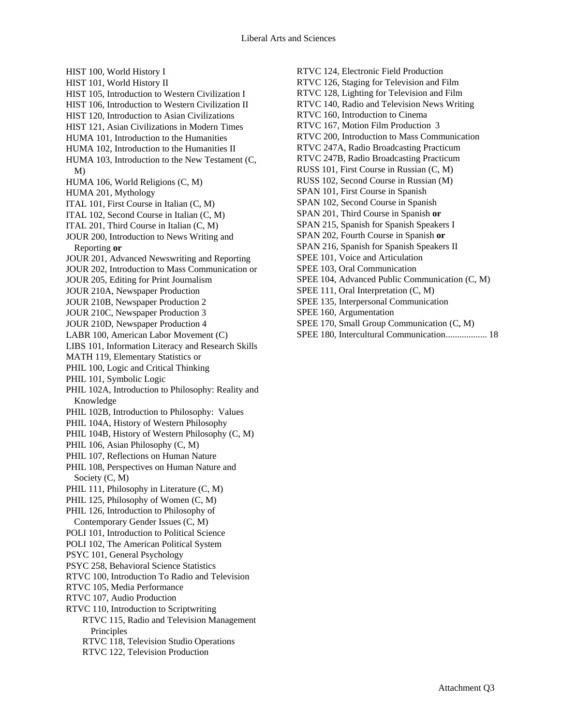HIST 100, World History I HIST 101, World History II HIST 105, Introduction to Western Civilization I HIST 106, Introduction to Western Civilization II HIST 120, Introduction to Asian Civilizations HIST 121, Asian Civilizations in Modern Times HUMA 101, Introduction to the Humanities HUMA 102, Introduction to the Humanities II HUMA 103, Introduction to the New Testament (C, M) HUMA 106, World Religions (C, M) HUMA 201, Mythology ITAL 101, First Course in Italian (C, M) ITAL 102, Second Course in Italian (C, M) ITAL 201, Third Course in Italian (C, M) JOUR 200, Introduction to News Writing and Reporting **or**  JOUR 201, Advanced Newswriting and Reporting JOUR 202, Introduction to Mass Communication or JOUR 205, Editing for Print Journalism JOUR 210A, Newspaper Production JOUR 210B, Newspaper Production 2 JOUR 210C, Newspaper Production 3 JOUR 210D, Newspaper Production 4 LABR 100, American Labor Movement (C) LIBS 101, Information Literacy and Research Skills MATH 119, Elementary Statistics or PHIL 100, Logic and Critical Thinking PHIL 101, Symbolic Logic PHIL 102A, Introduction to Philosophy: Reality and Knowledge PHIL 102B, Introduction to Philosophy: Values PHIL 104A, History of Western Philosophy PHIL 104B, History of Western Philosophy (C, M) PHIL 106, Asian Philosophy (C, M) PHIL 107, Reflections on Human Nature PHIL 108, Perspectives on Human Nature and Society (C, M) PHIL 111, Philosophy in Literature  $(C, M)$ PHIL 125, Philosophy of Women  $(C, M)$ PHIL 126, Introduction to Philosophy of Contemporary Gender Issues (C, M) POLI 101, Introduction to Political Science POLI 102, The American Political System PSYC 101, General Psychology PSYC 258, Behavioral Science Statistics RTVC 100, Introduction To Radio and Television RTVC 105, Media Performance RTVC 107, Audio Production RTVC 110, Introduction to Scriptwriting RTVC 115, Radio and Television Management Principles RTVC 118, Television Studio Operations RTVC 122, Television Production

RTVC 124, Electronic Field Production RTVC 126, Staging for Television and Film RTVC 128, Lighting for Television and Film RTVC 140, Radio and Television News Writing RTVC 160, Introduction to Cinema RTVC 167, Motion Film Production 3 RTVC 200, Introduction to Mass Communication RTVC 247A, Radio Broadcasting Practicum RTVC 247B, Radio Broadcasting Practicum RUSS 101, First Course in Russian (C, M) RUSS 102, Second Course in Russian (M) SPAN 101, First Course in Spanish SPAN 102, Second Course in Spanish SPAN 201, Third Course in Spanish **or**  SPAN 215, Spanish for Spanish Speakers I SPAN 202, Fourth Course in Spanish **or**  SPAN 216, Spanish for Spanish Speakers II SPEE 101, Voice and Articulation SPEE 103, Oral Communication SPEE 104, Advanced Public Communication (C, M) SPEE 111, Oral Interpretation (C, M) SPEE 135, Interpersonal Communication SPEE 160, Argumentation SPEE 170, Small Group Communication (C, M) SPEE 180, Intercultural Communication.................. 18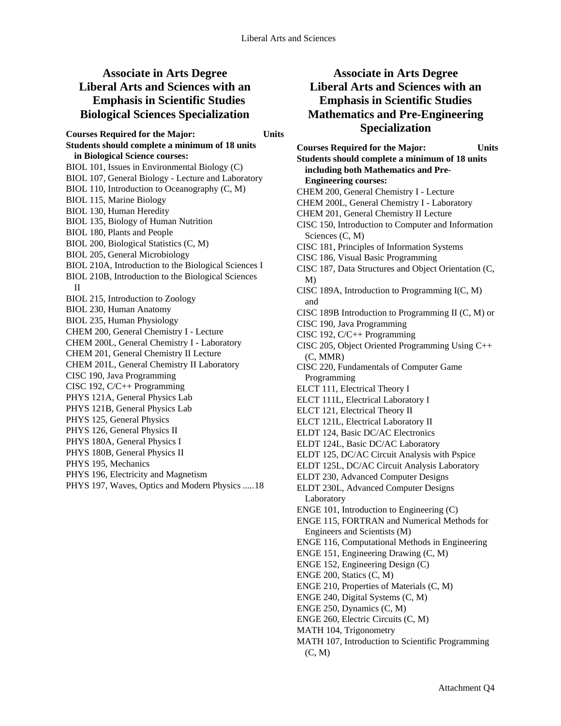# **Associate in Arts Degree Liberal Arts and Sciences with an Emphasis in Scientific Studies Biological Sciences Specialization**

**Courses Required for the Major: Units Students should complete a minimum of 18 units in Biological Science courses:**  BIOL 101, Issues in Environmental Biology (C) BIOL 107, General Biology - Lecture and Laboratory BIOL 110, Introduction to Oceanography (C, M) BIOL 115, Marine Biology BIOL 130, Human Heredity BIOL 135, Biology of Human Nutrition BIOL 180, Plants and People BIOL 200, Biological Statistics (C, M) BIOL 205, General Microbiology BIOL 210A, Introduction to the Biological Sciences I BIOL 210B, Introduction to the Biological Sciences II BIOL 215, Introduction to Zoology BIOL 230, Human Anatomy BIOL 235, Human Physiology CHEM 200, General Chemistry I - Lecture CHEM 200L, General Chemistry I - Laboratory CHEM 201, General Chemistry II Lecture CHEM 201L, General Chemistry II Laboratory CISC 190, Java Programming CISC 192, C/C++ Programming PHYS 121A, General Physics Lab PHYS 121B, General Physics Lab PHYS 125, General Physics PHYS 126, General Physics II PHYS 180A, General Physics I PHYS 180B, General Physics II PHYS 195, Mechanics PHYS 196, Electricity and Magnetism PHYS 197, Waves, Optics and Modern Physics .....18

# **Associate in Arts Degree Liberal Arts and Sciences with an Emphasis in Scientific Studies Mathematics and Pre-Engineering Specialization**

**Courses Required for the Major: Units Students should complete a minimum of 18 units including both Mathematics and Pre-Engineering courses:**  CHEM 200, General Chemistry I - Lecture CHEM 200L, General Chemistry I - Laboratory CHEM 201, General Chemistry II Lecture CISC 150, Introduction to Computer and Information Sciences (C, M) CISC 181, Principles of Information Systems CISC 186, Visual Basic Programming CISC 187, Data Structures and Object Orientation (C, M) CISC 189A, Introduction to Programming I(C, M) and CISC 189B Introduction to Programming II (C, M) or CISC 190, Java Programming CISC 192, C/C++ Programming CISC 205, Object Oriented Programming Using C++ (C, MMR) CISC 220, Fundamentals of Computer Game Programming ELCT 111, Electrical Theory I ELCT 111L, Electrical Laboratory I ELCT 121, Electrical Theory II ELCT 121L, Electrical Laboratory II ELDT 124, Basic DC/AC Electronics ELDT 124L, Basic DC/AC Laboratory ELDT 125, DC/AC Circuit Analysis with Pspice ELDT 125L, DC/AC Circuit Analysis Laboratory ELDT 230, Advanced Computer Designs ELDT 230L, Advanced Computer Designs Laboratory ENGE 101, Introduction to Engineering (C) ENGE 115, FORTRAN and Numerical Methods for Engineers and Scientists (M) ENGE 116, Computational Methods in Engineering ENGE 151, Engineering Drawing (C, M) ENGE 152, Engineering Design (C) ENGE 200, Statics (C, M) ENGE 210, Properties of Materials (C, M) ENGE 240, Digital Systems (C, M) ENGE 250, Dynamics (C, M) ENGE 260, Electric Circuits (C, M) MATH 104, Trigonometry MATH 107, Introduction to Scientific Programming (C, M)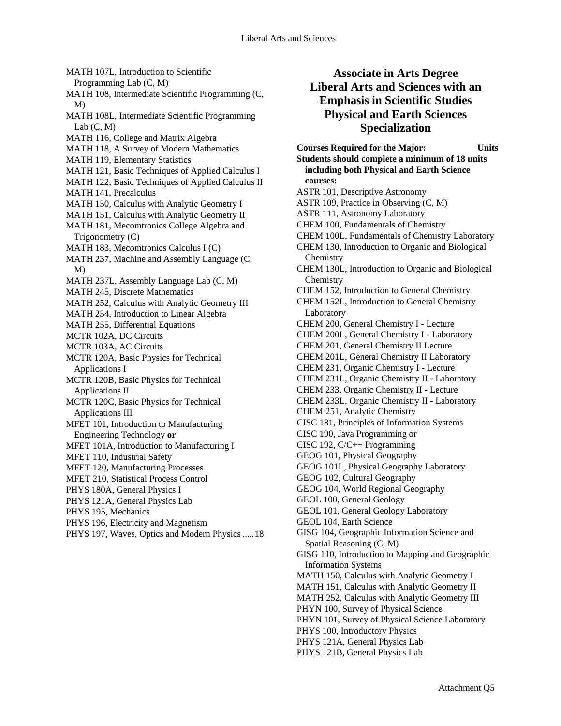MATH 107L, Introduction to Scientific Programming Lab (C, M) MATH 108, Intermediate Scientific Programming (C, M) MATH 108L, Intermediate Scientific Programming Lab $(C, M)$ MATH 116, College and Matrix Algebra MATH 118, A Survey of Modern Mathematics MATH 119, Elementary Statistics MATH 121, Basic Techniques of Applied Calculus I MATH 122, Basic Techniques of Applied Calculus II MATH 141, Precalculus MATH 150, Calculus with Analytic Geometry I MATH 151, Calculus with Analytic Geometry II MATH 181, Mecomtronics College Algebra and Trigonometry (C) MATH 183, Mecomtronics Calculus I (C) MATH 237, Machine and Assembly Language (C, M) MATH 237L, Assembly Language Lab (C, M) MATH 245, Discrete Mathematics MATH 252, Calculus with Analytic Geometry III MATH 254, Introduction to Linear Algebra MATH 255, Differential Equations MCTR 102A, DC Circuits MCTR 103A, AC Circuits MCTR 120A, Basic Physics for Technical Applications I MCTR 120B, Basic Physics for Technical Applications II MCTR 120C, Basic Physics for Technical Applications III MFET 101, Introduction to Manufacturing Engineering Technology **or**  MFET 101A, Introduction to Manufacturing I MFET 110, Industrial Safety MFET 120, Manufacturing Processes MFET 210, Statistical Process Control PHYS 180A, General Physics I PHYS 121A, General Physics Lab PHYS 195, Mechanics PHYS 196, Electricity and Magnetism PHYS 197, Waves, Optics and Modern Physics .....18

# **Associate in Arts Degree Liberal Arts and Sciences with an Emphasis in Scientific Studies Physical and Earth Sciences Specialization**

**Courses Required for the Major: Units Students should complete a minimum of 18 units including both Physical and Earth Science courses:**  ASTR 101, Descriptive Astronomy ASTR 109, Practice in Observing (C, M) ASTR 111, Astronomy Laboratory CHEM 100, Fundamentals of Chemistry CHEM 100L, Fundamentals of Chemistry Laboratory CHEM 130, Introduction to Organic and Biological **Chemistry** CHEM 130L, Introduction to Organic and Biological **Chemistry** CHEM 152, Introduction to General Chemistry CHEM 152L, Introduction to General Chemistry Laboratory CHEM 200, General Chemistry I - Lecture CHEM 200L, General Chemistry I - Laboratory CHEM 201, General Chemistry II Lecture CHEM 201L, General Chemistry II Laboratory CHEM 231, Organic Chemistry I - Lecture CHEM 231L, Organic Chemistry II - Laboratory CHEM 233, Organic Chemistry II - Lecture CHEM 233L, Organic Chemistry II - Laboratory CHEM 251, Analytic Chemistry CISC 181, Principles of Information Systems CISC 190, Java Programming or CISC 192, C/C++ Programming GEOG 101, Physical Geography GEOG 101L, Physical Geography Laboratory GEOG 102, Cultural Geography GEOG 104, World Regional Geography GEOL 100, General Geology GEOL 101, General Geology Laboratory GEOL 104, Earth Science GISG 104, Geographic Information Science and Spatial Reasoning (C, M) GISG 110, Introduction to Mapping and Geographic Information Systems MATH 150, Calculus with Analytic Geometry I MATH 151, Calculus with Analytic Geometry II MATH 252, Calculus with Analytic Geometry III PHYN 100, Survey of Physical Science PHYN 101, Survey of Physical Science Laboratory PHYS 100, Introductory Physics PHYS 121A, General Physics Lab PHYS 121B, General Physics Lab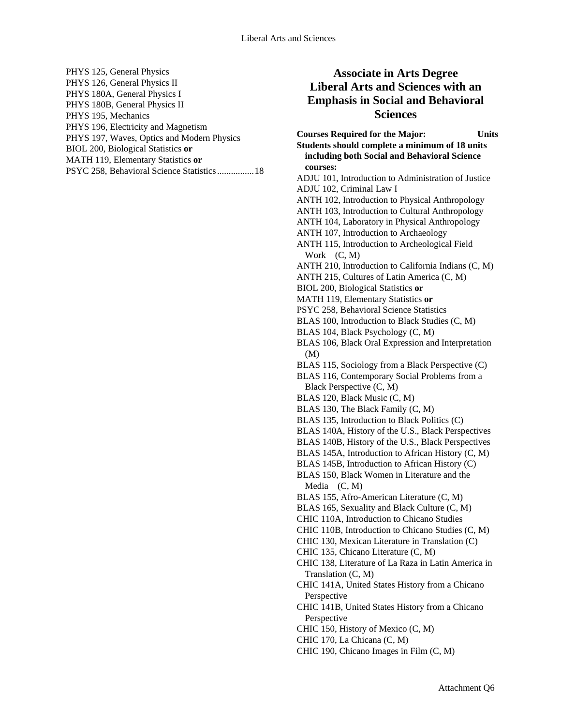| PHYS 125, General Physics                   |
|---------------------------------------------|
| PHYS 126, General Physics II                |
| PHYS 180A, General Physics I                |
| PHYS 180B, General Physics II               |
| PHYS 195, Mechanics                         |
| PHYS 196, Electricity and Magnetism         |
| PHYS 197, Waves, Optics and Modern Physics  |
| BIOL 200, Biological Statistics or          |
| MATH 119, Elementary Statistics or          |
| PSYC 258, Behavioral Science Statistics  18 |

# **Associate in Arts Degree Liberal Arts and Sciences with an Emphasis in Social and Behavioral Sciences**

**Courses Required for the Major: Units Students should complete a minimum of 18 units including both Social and Behavioral Science courses:**  ADJU 101, Introduction to Administration of Justice ADJU 102, Criminal Law I ANTH 102, Introduction to Physical Anthropology ANTH 103, Introduction to Cultural Anthropology ANTH 104, Laboratory in Physical Anthropology ANTH 107, Introduction to Archaeology ANTH 115, Introduction to Archeological Field Work (C, M) ANTH 210, Introduction to California Indians (C, M) ANTH 215, Cultures of Latin America (C, M) BIOL 200, Biological Statistics **or**  MATH 119, Elementary Statistics **or**  PSYC 258, Behavioral Science Statistics BLAS 100, Introduction to Black Studies (C, M) BLAS 104, Black Psychology (C, M) BLAS 106, Black Oral Expression and Interpretation (M) BLAS 115, Sociology from a Black Perspective (C) BLAS 116, Contemporary Social Problems from a Black Perspective (C, M) BLAS 120, Black Music (C, M) BLAS 130, The Black Family (C, M) BLAS 135, Introduction to Black Politics (C) BLAS 140A, History of the U.S., Black Perspectives BLAS 140B, History of the U.S., Black Perspectives BLAS 145A, Introduction to African History (C, M) BLAS 145B, Introduction to African History (C) BLAS 150, Black Women in Literature and the Media (C, M) BLAS 155, Afro-American Literature (C, M) BLAS 165, Sexuality and Black Culture (C, M) CHIC 110A, Introduction to Chicano Studies CHIC 110B, Introduction to Chicano Studies (C, M) CHIC 130, Mexican Literature in Translation (C) CHIC 135, Chicano Literature (C, M) CHIC 138, Literature of La Raza in Latin America in Translation (C, M) CHIC 141A, United States History from a Chicano Perspective CHIC 141B, United States History from a Chicano Perspective CHIC 150, History of Mexico (C, M) CHIC 170, La Chicana (C, M)

CHIC 190, Chicano Images in Film (C, M)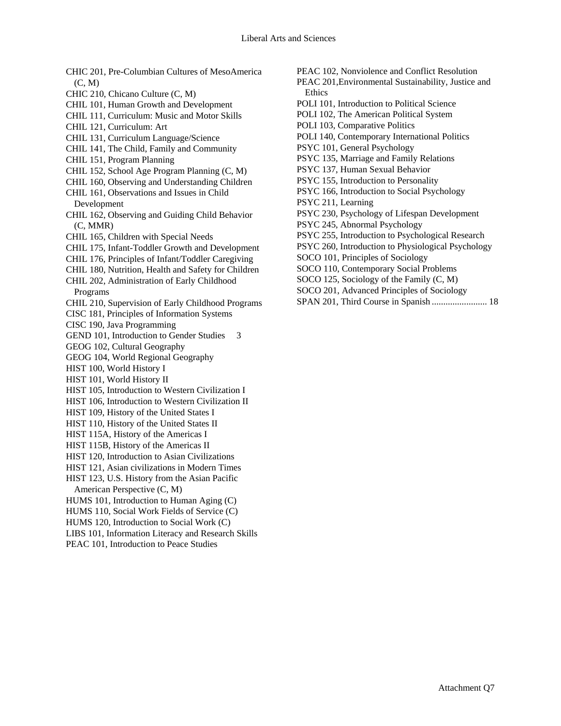CHIC 201, Pre-Columbian Cultures of MesoAmerica (C, M) CHIC 210, Chicano Culture (C, M) CHIL 101, Human Growth and Development CHIL 111, Curriculum: Music and Motor Skills CHIL 121, Curriculum: Art CHIL 131, Curriculum Language/Science CHIL 141, The Child, Family and Community CHIL 151, Program Planning CHIL 152, School Age Program Planning (C, M) CHIL 160, Observing and Understanding Children CHIL 161, Observations and Issues in Child Development CHIL 162, Observing and Guiding Child Behavior (C, MMR) CHIL 165, Children with Special Needs CHIL 175, Infant-Toddler Growth and Development CHIL 176, Principles of Infant/Toddler Caregiving CHIL 180, Nutrition, Health and Safety for Children CHIL 202, Administration of Early Childhood Programs CHIL 210, Supervision of Early Childhood Programs CISC 181, Principles of Information Systems CISC 190, Java Programming GEND 101, Introduction to Gender Studies 3 GEOG 102, Cultural Geography GEOG 104, World Regional Geography HIST 100, World History I HIST 101, World History II HIST 105, Introduction to Western Civilization I HIST 106, Introduction to Western Civilization II HIST 109, History of the United States I HIST 110, History of the United States II HIST 115A, History of the Americas I HIST 115B, History of the Americas II HIST 120, Introduction to Asian Civilizations HIST 121, Asian civilizations in Modern Times HIST 123, U.S. History from the Asian Pacific American Perspective (C, M) HUMS 101, Introduction to Human Aging (C) HUMS 110, Social Work Fields of Service (C) HUMS 120, Introduction to Social Work (C) LIBS 101, Information Literacy and Research Skills PEAC 101, Introduction to Peace Studies

PEAC 102, Nonviolence and Conflict Resolution

PEAC 201,Environmental Sustainability, Justice and Ethics

- POLI 101, Introduction to Political Science
- POLI 102, The American Political System

POLI 103, Comparative Politics

POLI 140, Contemporary International Politics

PSYC 101, General Psychology

PSYC 135, Marriage and Family Relations

PSYC 137, Human Sexual Behavior

PSYC 155, Introduction to Personality

PSYC 166, Introduction to Social Psychology

PSYC 211, Learning

PSYC 230, Psychology of Lifespan Development

PSYC 245, Abnormal Psychology

PSYC 255, Introduction to Psychological Research

PSYC 260, Introduction to Physiological Psychology

SOCO 101, Principles of Sociology

SOCO 110, Contemporary Social Problems

SOCO 125, Sociology of the Family (C, M)

SOCO 201, Advanced Principles of Sociology

SPAN 201, Third Course in Spanish ........................ 18